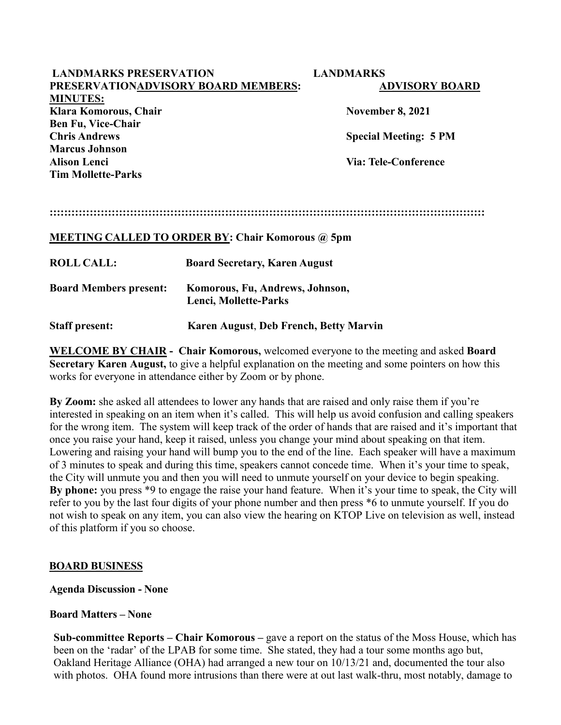| <b>LANDMARKS PRESERVATION</b>                           |                                      | <b>LANDMARKS</b>             |
|---------------------------------------------------------|--------------------------------------|------------------------------|
| PRESERVATIONADVISORY BOARD MEMBERS:                     |                                      | <b>ADVISORY BOARD</b>        |
| <b>MINUTES:</b>                                         |                                      |                              |
| Klara Komorous, Chair                                   |                                      | <b>November 8, 2021</b>      |
| <b>Ben Fu, Vice-Chair</b>                               |                                      |                              |
| <b>Chris Andrews</b>                                    |                                      | <b>Special Meeting: 5 PM</b> |
| Marcus Johnson                                          |                                      |                              |
| <b>Alison Lenci</b>                                     |                                      | Via: Tele-Conference         |
| <b>Tim Mollette-Parks</b>                               |                                      |                              |
|                                                         |                                      |                              |
|                                                         |                                      |                              |
|                                                         |                                      |                              |
|                                                         |                                      |                              |
| <b>MEETING CALLED TO ORDER BY: Chair Komorous @ 5pm</b> |                                      |                              |
| <b>ROLL CALL:</b>                                       | <b>Board Secretary, Karen August</b> |                              |
|                                                         |                                      |                              |

| <b>Board Members present:</b> | Komorous, Fu, Andrews, Johnson, |
|-------------------------------|---------------------------------|
|                               | Lenci, Mollette-Parks           |

**Staff present: Karen August**, **Deb French, Betty Marvin**

**WELCOME BY CHAIR - Chair Komorous,** welcomed everyone to the meeting and asked **Board Secretary Karen August,** to give a helpful explanation on the meeting and some pointers on how this works for everyone in attendance either by Zoom or by phone.

**By Zoom:** she asked all attendees to lower any hands that are raised and only raise them if you're interested in speaking on an item when it's called. This will help us avoid confusion and calling speakers for the wrong item. The system will keep track of the order of hands that are raised and it's important that once you raise your hand, keep it raised, unless you change your mind about speaking on that item. Lowering and raising your hand will bump you to the end of the line. Each speaker will have a maximum of 3 minutes to speak and during this time, speakers cannot concede time. When it's your time to speak, the City will unmute you and then you will need to unmute yourself on your device to begin speaking. **By phone:** you press \*9 to engage the raise your hand feature. When it's your time to speak, the City will refer to you by the last four digits of your phone number and then press \*6 to unmute yourself. If you do not wish to speak on any item, you can also view the hearing on KTOP Live on television as well, instead of this platform if you so choose.

### **BOARD BUSINESS**

**Agenda Discussion - None**

### **Board Matters – None**

**Sub-committee Reports – Chair Komorous –** gave a report on the status of the Moss House, which has been on the 'radar' of the LPAB for some time. She stated, they had a tour some months ago but, Oakland Heritage Alliance (OHA) had arranged a new tour on 10/13/21 and, documented the tour also with photos. OHA found more intrusions than there were at out last walk-thru, most notably, damage to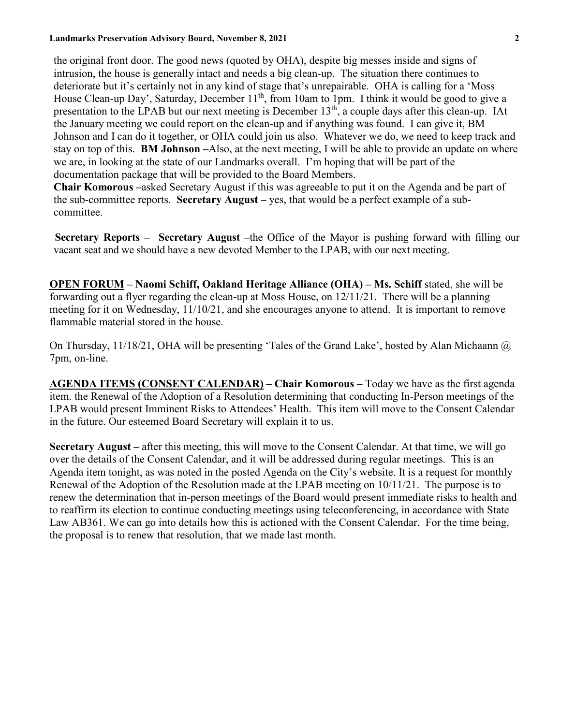#### **Landmarks Preservation Advisory Board, November 8, 2021 2**

the original front door. The good news (quoted by OHA), despite big messes inside and signs of intrusion, the house is generally intact and needs a big clean-up. The situation there continues to deteriorate but it's certainly not in any kind of stage that's unrepairable. OHA is calling for a 'Moss House Clean-up Day', Saturday, December  $11<sup>th</sup>$ , from 10am to 1pm. I think it would be good to give a presentation to the LPAB but our next meeting is December 13th, a couple days after this clean-up. IAt the January meeting we could report on the clean-up and if anything was found. I can give it, BM Johnson and I can do it together, or OHA could join us also. Whatever we do, we need to keep track and stay on top of this. **BM Johnson –**Also, at the next meeting, I will be able to provide an update on where we are, in looking at the state of our Landmarks overall. I'm hoping that will be part of the documentation package that will be provided to the Board Members.

**Chair Komorous –**asked Secretary August if this was agreeable to put it on the Agenda and be part of the sub-committee reports. **Secretary August –** yes, that would be a perfect example of a subcommittee.

 **Secretary Reports – Secretary August –**the Office of the Mayor is pushing forward with filling our vacant seat and we should have a new devoted Member to the LPAB, with our next meeting.

 **OPEN FORUM – Naomi Schiff, Oakland Heritage Alliance (OHA) – Ms. Schiff** stated, she will be forwarding out a flyer regarding the clean-up at Moss House, on 12/11/21. There will be a planning meeting for it on Wednesday, 11/10/21, and she encourages anyone to attend. It is important to remove flammable material stored in the house.

On Thursday, 11/18/21, OHA will be presenting 'Tales of the Grand Lake', hosted by Alan Michaann @ 7pm, on-line.

**AGENDA ITEMS (CONSENT CALENDAR) – Chair Komorous –** Today we have as the first agenda item. the Renewal of the Adoption of a Resolution determining that conducting In-Person meetings of the LPAB would present Imminent Risks to Attendees' Health. This item will move to the Consent Calendar in the future. Our esteemed Board Secretary will explain it to us.

**Secretary August –** after this meeting, this will move to the Consent Calendar. At that time, we will go over the details of the Consent Calendar, and it will be addressed during regular meetings. This is an Agenda item tonight, as was noted in the posted Agenda on the City's website. It is a request for monthly Renewal of the Adoption of the Resolution made at the LPAB meeting on 10/11/21. The purpose is to renew the determination that in-person meetings of the Board would present immediate risks to health and to reaffirm its election to continue conducting meetings using teleconferencing, in accordance with State Law AB361. We can go into details how this is actioned with the Consent Calendar. For the time being, the proposal is to renew that resolution, that we made last month.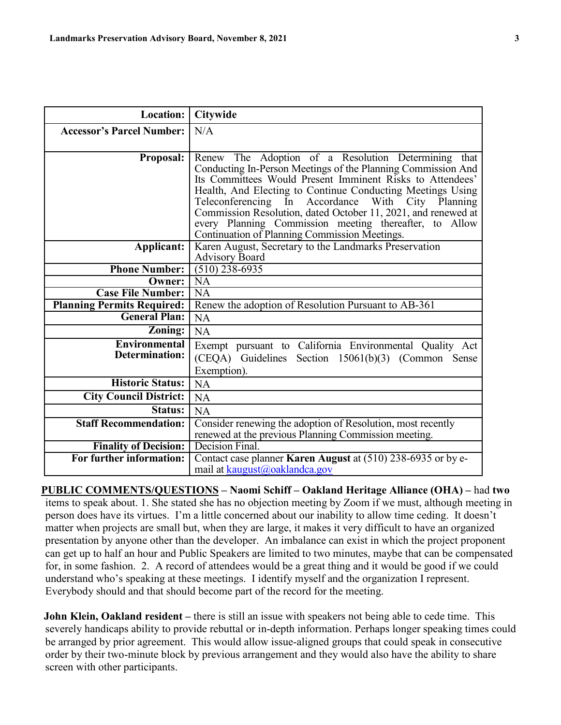| <b>Location:</b>                  | <b>Citywide</b>                                                                                                     |
|-----------------------------------|---------------------------------------------------------------------------------------------------------------------|
| <b>Accessor's Parcel Number:</b>  | N/A                                                                                                                 |
|                                   |                                                                                                                     |
| <b>Proposal:</b>                  | Renew The Adoption of a Resolution Determining that<br>Conducting In-Person Meetings of the Planning Commission And |
|                                   | Its Committees Would Present Imminent Risks to Attendees'                                                           |
|                                   | Health, And Electing to Continue Conducting Meetings Using                                                          |
|                                   | Teleconferencing In Accordance With City Planning                                                                   |
|                                   | Commission Resolution, dated October 11, 2021, and renewed at                                                       |
|                                   | every Planning Commission meeting thereafter, to Allow<br>Continuation of Planning Commission Meetings.             |
| Applicant:                        | Karen August, Secretary to the Landmarks Preservation                                                               |
|                                   | <b>Advisory Board</b>                                                                                               |
| <b>Phone Number:</b>              | $(5\overline{10})\overline{238-6935}$                                                                               |
| Owner:                            | NA                                                                                                                  |
| <b>Case File Number:</b>          | $\overline{NA}$                                                                                                     |
| <b>Planning Permits Required:</b> | Renew the adoption of Resolution Pursuant to AB-361                                                                 |
| <b>General Plan:</b>              | <b>NA</b>                                                                                                           |
| Zoning:                           | NA                                                                                                                  |
| <b>Environmental</b>              | Exempt pursuant to California Environmental Quality Act                                                             |
| Determination:                    | (CEQA) Guidelines Section 15061(b)(3) (Common Sense                                                                 |
|                                   | Exemption).                                                                                                         |
| <b>Historic Status:</b>           | <b>NA</b>                                                                                                           |
| <b>City Council District:</b>     | <b>NA</b>                                                                                                           |
| Status:                           | NA                                                                                                                  |
| <b>Staff Recommendation:</b>      | Consider renewing the adoption of Resolution, most recently                                                         |
|                                   | renewed at the previous Planning Commission meeting.                                                                |
| <b>Finality of Decision:</b>      | Decision Final.                                                                                                     |
| For further information:          | Contact case planner Karen August at (510) 238-6935 or by e-                                                        |
|                                   | mail at kaugust@oaklandca.gov                                                                                       |

**PUBLIC COMMENTS/QUESTIONS – Naomi Schiff – Oakland Heritage Alliance (OHA) –** had **two**  items to speak about. 1. She stated she has no objection meeting by Zoom if we must, although meeting in person does have its virtues. I'm a little concerned about our inability to allow time ceding. It doesn't matter when projects are small but, when they are large, it makes it very difficult to have an organized presentation by anyone other than the developer. An imbalance can exist in which the project proponent can get up to half an hour and Public Speakers are limited to two minutes, maybe that can be compensated for, in some fashion. 2. A record of attendees would be a great thing and it would be good if we could understand who's speaking at these meetings. I identify myself and the organization I represent. Everybody should and that should become part of the record for the meeting.

**John Klein, Oakland resident –** there is still an issue with speakers not being able to cede time. This severely handicaps ability to provide rebuttal or in-depth information. Perhaps longer speaking times could be arranged by prior agreement. This would allow issue-aligned groups that could speak in consecutive order by their two-minute block by previous arrangement and they would also have the ability to share screen with other participants.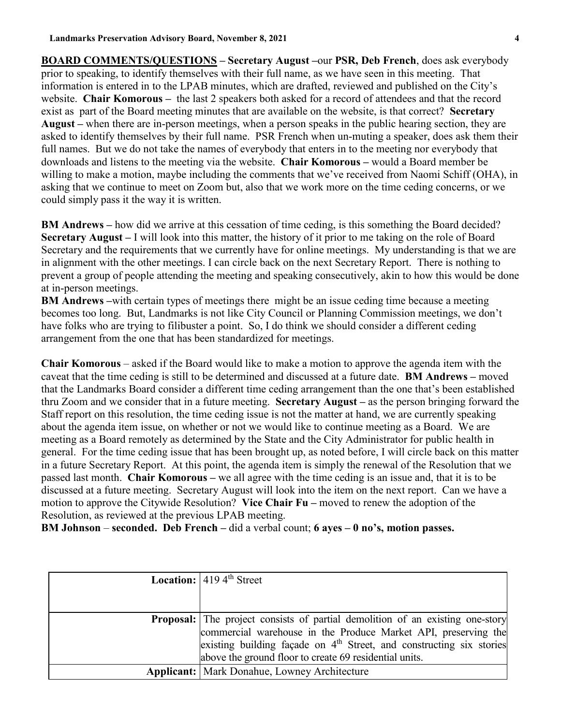**BOARD COMMENTS/QUESTIONS – Secretary August –**our **PSR, Deb French**, does ask everybody prior to speaking, to identify themselves with their full name, as we have seen in this meeting. That information is entered in to the LPAB minutes, which are drafted, reviewed and published on the City's website. **Chair Komorous –** the last 2 speakers both asked for a record of attendees and that the record exist as part of the Board meeting minutes that are available on the website, is that correct? **Secretary August –** when there are in-person meetings, when a person speaks in the public hearing section, they are asked to identify themselves by their full name. PSR French when un-muting a speaker, does ask them their full names. But we do not take the names of everybody that enters in to the meeting nor everybody that downloads and listens to the meeting via the website. **Chair Komorous –** would a Board member be willing to make a motion, maybe including the comments that we've received from Naomi Schiff (OHA), in asking that we continue to meet on Zoom but, also that we work more on the time ceding concerns, or we could simply pass it the way it is written.

**BM Andrews –** how did we arrive at this cessation of time ceding, is this something the Board decided? **Secretary August –** I will look into this matter, the history of it prior to me taking on the role of Board Secretary and the requirements that we currently have for online meetings. My understanding is that we are in alignment with the other meetings. I can circle back on the next Secretary Report. There is nothing to prevent a group of people attending the meeting and speaking consecutively, akin to how this would be done at in-person meetings.

**BM Andrews –**with certain types of meetings there might be an issue ceding time because a meeting becomes too long. But, Landmarks is not like City Council or Planning Commission meetings, we don't have folks who are trying to filibuster a point. So, I do think we should consider a different ceding arrangement from the one that has been standardized for meetings.

**Chair Komorous** – asked if the Board would like to make a motion to approve the agenda item with the caveat that the time ceding is still to be determined and discussed at a future date. **BM Andrews –** moved that the Landmarks Board consider a different time ceding arrangement than the one that's been established thru Zoom and we consider that in a future meeting. **Secretary August –** as the person bringing forward the Staff report on this resolution, the time ceding issue is not the matter at hand, we are currently speaking about the agenda item issue, on whether or not we would like to continue meeting as a Board. We are meeting as a Board remotely as determined by the State and the City Administrator for public health in general. For the time ceding issue that has been brought up, as noted before, I will circle back on this matter in a future Secretary Report. At this point, the agenda item is simply the renewal of the Resolution that we passed last month. **Chair Komorous –** we all agree with the time ceding is an issue and, that it is to be discussed at a future meeting. Secretary August will look into the item on the next report. Can we have a motion to approve the Citywide Resolution? **Vice Chair Fu –** moved to renew the adoption of the Resolution, as reviewed at the previous LPAB meeting.

**BM Johnson** – **seconded. Deb French –** did a verbal count; **6 ayes – 0 no's, motion passes.**

| <b>Location:</b> $4194^{\text{th}}$ Street                                                                                                                                                                                                                                                 |
|--------------------------------------------------------------------------------------------------------------------------------------------------------------------------------------------------------------------------------------------------------------------------------------------|
|                                                                                                                                                                                                                                                                                            |
| <b>Proposal:</b> The project consists of partial demolition of an existing one-story<br>commercial warehouse in the Produce Market API, preserving the<br>existing building façade on $4th$ Street, and constructing six stories<br>above the ground floor to create 69 residential units. |
| <b>Applicant:</b> Mark Donahue, Lowney Architecture                                                                                                                                                                                                                                        |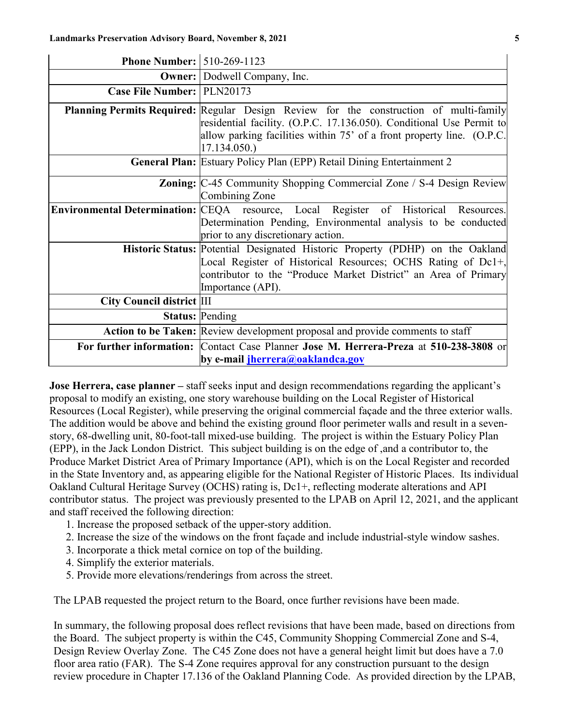| <b>Phone Number: 510-269-1123</b> |                                                                                                                                                                                                                                                               |
|-----------------------------------|---------------------------------------------------------------------------------------------------------------------------------------------------------------------------------------------------------------------------------------------------------------|
|                                   | <b>Owner:</b> Dodwell Company, Inc.                                                                                                                                                                                                                           |
| Case File Number: PLN20173        |                                                                                                                                                                                                                                                               |
|                                   | <b>Planning Permits Required:</b> Regular Design Review for the construction of multi-family<br>residential facility. (O.P.C. 17.136.050). Conditional Use Permit to<br>allow parking facilities within 75' of a front property line. (O.P.C.<br>17.134.050.) |
|                                   | <b>General Plan:</b> Estuary Policy Plan (EPP) Retail Dining Entertainment 2                                                                                                                                                                                  |
|                                   | <b>Zoning:</b> C-45 Community Shopping Commercial Zone / S-4 Design Review<br>Combining Zone                                                                                                                                                                  |
|                                   | Environmental Determination: CEQA resource, Local Register of Historical Resources.<br>Determination Pending, Environmental analysis to be conducted<br>prior to any discretionary action.                                                                    |
|                                   | Historic Status: Potential Designated Historic Property (PDHP) on the Oakland<br>Local Register of Historical Resources; OCHS Rating of Dc1+,<br>contributor to the "Produce Market District" an Area of Primary<br>Importance (API).                         |
| <b>City Council district III</b>  |                                                                                                                                                                                                                                                               |
|                                   | <b>Status: Pending</b>                                                                                                                                                                                                                                        |
|                                   | Action to be Taken: Review development proposal and provide comments to staff                                                                                                                                                                                 |
|                                   | For further information: Contact Case Planner Jose M. Herrera-Preza at 510-238-3808 or<br>by e-mail <i>jherrera@oaklandca.gov</i>                                                                                                                             |

**Jose Herrera, case planner** – staff seeks input and design recommendations regarding the applicant's proposal to modify an existing, one story warehouse building on the Local Register of Historical Resources (Local Register), while preserving the original commercial façade and the three exterior walls. The addition would be above and behind the existing ground floor perimeter walls and result in a sevenstory, 68-dwelling unit, 80-foot-tall mixed-use building. The project is within the Estuary Policy Plan (EPP), in the Jack London District. This subject building is on the edge of ,and a contributor to, the Produce Market District Area of Primary Importance (API), which is on the Local Register and recorded in the State Inventory and, as appearing eligible for the National Register of Historic Places. Its individual Oakland Cultural Heritage Survey (OCHS) rating is, Dc1+, reflecting moderate alterations and API contributor status. The project was previously presented to the LPAB on April 12, 2021, and the applicant and staff received the following direction:

- 1. Increase the proposed setback of the upper-story addition.
- 2. Increase the size of the windows on the front façade and include industrial-style window sashes.
- 3. Incorporate a thick metal cornice on top of the building.
- 4. Simplify the exterior materials.
- 5. Provide more elevations/renderings from across the street.

The LPAB requested the project return to the Board, once further revisions have been made.

In summary, the following proposal does reflect revisions that have been made, based on directions from the Board. The subject property is within the C45, Community Shopping Commercial Zone and S-4, Design Review Overlay Zone. The C45 Zone does not have a general height limit but does have a 7.0 floor area ratio (FAR). The S-4 Zone requires approval for any construction pursuant to the design review procedure in Chapter 17.136 of the Oakland Planning Code. As provided direction by the LPAB,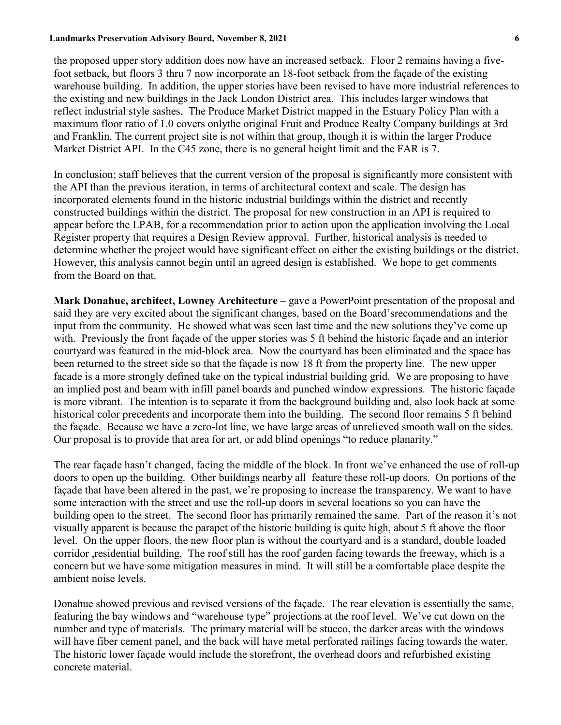#### **Landmarks Preservation Advisory Board, November 8, 2021 6**

the proposed upper story addition does now have an increased setback. Floor 2 remains having a fivefoot setback, but floors 3 thru 7 now incorporate an 18-foot setback from the façade of the existing warehouse building. In addition, the upper stories have been revised to have more industrial references to the existing and new buildings in the Jack London District area. This includes larger windows that reflect industrial style sashes. The Produce Market District mapped in the Estuary Policy Plan with a maximum floor ratio of 1.0 covers onlythe original Fruit and Produce Realty Company buildings at 3rd and Franklin. The current project site is not within that group, though it is within the larger Produce Market District API. In the C45 zone, there is no general height limit and the FAR is 7.

In conclusion; staff believes that the current version of the proposal is significantly more consistent with the API than the previous iteration, in terms of architectural context and scale. The design has incorporated elements found in the historic industrial buildings within the district and recently constructed buildings within the district. The proposal for new construction in an API is required to appear before the LPAB, for a recommendation prior to action upon the application involving the Local Register property that requires a Design Review approval. Further, historical analysis is needed to determine whether the project would have significant effect on either the existing buildings or the district. However, this analysis cannot begin until an agreed design is established. We hope to get comments from the Board on that.

**Mark Donahue, architect, Lowney Architecture** – gave a PowerPoint presentation of the proposal and said they are very excited about the significant changes, based on the Board'srecommendations and the input from the community. He showed what was seen last time and the new solutions they've come up with. Previously the front façade of the upper stories was 5 ft behind the historic façade and an interior courtyard was featured in the mid-block area. Now the courtyard has been eliminated and the space has been returned to the street side so that the façade is now 18 ft from the property line. The new upper facade is a more strongly defined take on the typical industrial building grid. We are proposing to have an implied post and beam with infill panel boards and punched window expressions. The historic façade is more vibrant. The intention is to separate it from the background building and, also look back at some historical color precedents and incorporate them into the building. The second floor remains 5 ft behind the façade. Because we have a zero-lot line, we have large areas of unrelieved smooth wall on the sides. Our proposal is to provide that area for art, or add blind openings "to reduce planarity."

The rear façade hasn't changed, facing the middle of the block. In front we've enhanced the use of roll-up doors to open up the building. Other buildings nearby all feature these roll-up doors. On portions of the façade that have been altered in the past, we're proposing to increase the transparency. We want to have some interaction with the street and use the roll-up doors in several locations so you can have the building open to the street. The second floor has primarily remained the same. Part of the reason it's not visually apparent is because the parapet of the historic building is quite high, about 5 ft above the floor level. On the upper floors, the new floor plan is without the courtyard and is a standard, double loaded corridor ,residential building. The roof still has the roof garden facing towards the freeway, which is a concern but we have some mitigation measures in mind. It will still be a comfortable place despite the ambient noise levels.

Donahue showed previous and revised versions of the façade. The rear elevation is essentially the same, featuring the bay windows and "warehouse type" projections at the roof level. We've cut down on the number and type of materials. The primary material will be stucco, the darker areas with the windows will have fiber cement panel, and the back will have metal perforated railings facing towards the water. The historic lower façade would include the storefront, the overhead doors and refurbished existing concrete material.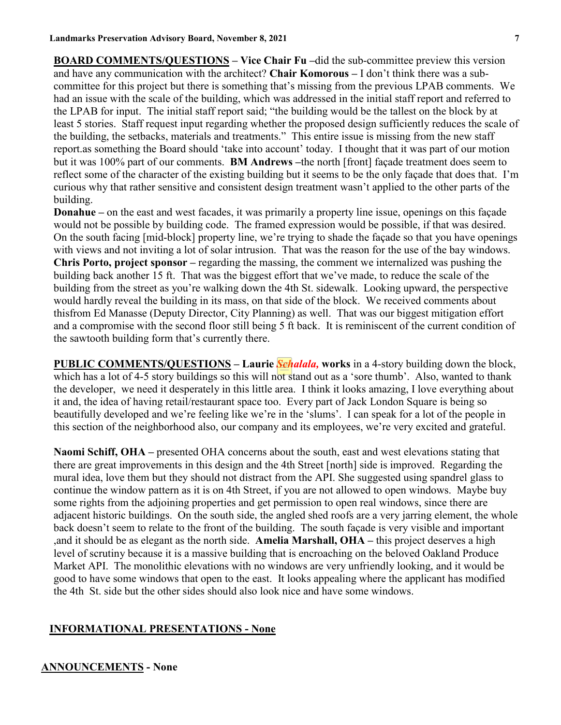**BOARD COMMENTS/QUESTIONS – Vice Chair Fu –**did the sub-committee preview this version and have any communication with the architect? **Chair Komorous –** I don't think there was a subcommittee for this project but there is something that's missing from the previous LPAB comments. We had an issue with the scale of the building, which was addressed in the initial staff report and referred to the LPAB for input. The initial staff report said; "the building would be the tallest on the block by at least 5 stories. Staff request input regarding whether the proposed design sufficiently reduces the scale of the building, the setbacks, materials and treatments." This entire issue is missing from the new staff report.as something the Board should 'take into account' today. I thought that it was part of our motion but it was 100% part of our comments. **BM Andrews –**the north [front] façade treatment does seem to reflect some of the character of the existing building but it seems to be the only façade that does that. I'm curious why that rather sensitive and consistent design treatment wasn't applied to the other parts of the building.

**Donahue** – on the east and west facades, it was primarily a property line issue, openings on this facade would not be possible by building code. The framed expression would be possible, if that was desired. On the south facing [mid-block] property line, we're trying to shade the façade so that you have openings with views and not inviting a lot of solar intrusion. That was the reason for the use of the bay windows. **Chris Porto, project sponsor –** regarding the massing, the comment we internalized was pushing the building back another 15 ft. That was the biggest effort that we've made, to reduce the scale of the building from the street as you're walking down the 4th St. sidewalk. Looking upward, the perspective would hardly reveal the building in its mass, on that side of the block. We received comments about thisfrom Ed Manasse (Deputy Director, City Planning) as well. That was our biggest mitigation effort and a compromise with the second floor still being 5 ft back. It is reminiscent of the current condition of the sawtooth building form that's currently there.

**PUBLIC COMMENTS/QUESTIONS – Laurie** *Schalala,* **works** in a 4-story building down the block, which has a lot of 4-5 story buildings so this will not stand out as a 'sore thumb'. Also, wanted to thank the developer, we need it desperately in this little area. I think it looks amazing, I love everything about it and, the idea of having retail/restaurant space too. Every part of Jack London Square is being so beautifully developed and we're feeling like we're in the 'slums'. I can speak for a lot of the people in this section of the neighborhood also, our company and its employees, we're very excited and grateful.

**Naomi Schiff, OHA –** presented OHA concerns about the south, east and west elevations stating that there are great improvements in this design and the 4th Street [north] side is improved. Regarding the mural idea, love them but they should not distract from the API. She suggested using spandrel glass to continue the window pattern as it is on 4th Street, if you are not allowed to open windows. Maybe buy some rights from the adjoining properties and get permission to open real windows, since there are adjacent historic buildings. On the south side, the angled shed roofs are a very jarring element, the whole back doesn't seem to relate to the front of the building. The south façade is very visible and important ,and it should be as elegant as the north side. **Amelia Marshall, OHA –** this project deserves a high level of scrutiny because it is a massive building that is encroaching on the beloved Oakland Produce Market API. The monolithic elevations with no windows are very unfriendly looking, and it would be good to have some windows that open to the east. It looks appealing where the applicant has modified the 4th St. side but the other sides should also look nice and have some windows.

### **INFORMATIONAL PRESENTATIONS - None**

#### **ANNOUNCEMENTS - None**